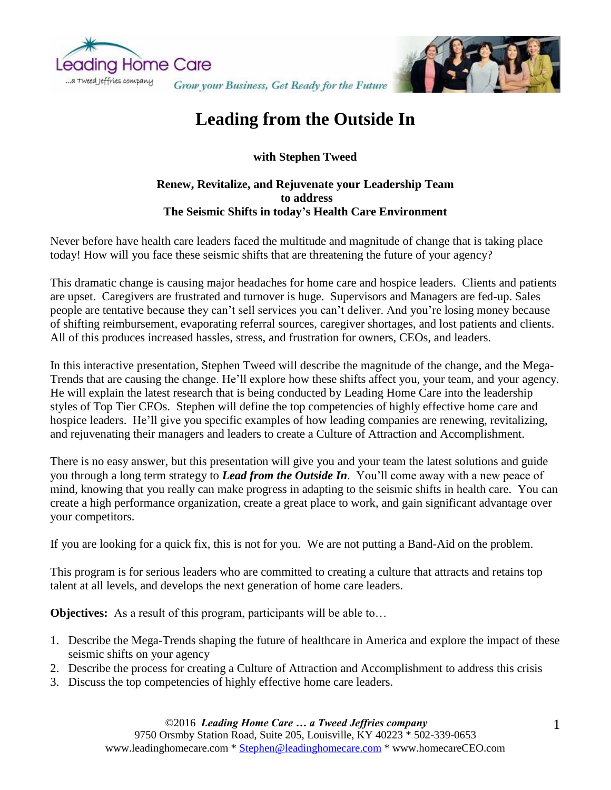



## **Leading from the Outside In**

**with Stephen Tweed**

## **Renew, Revitalize, and Rejuvenate your Leadership Team to address The Seismic Shifts in today's Health Care Environment**

Never before have health care leaders faced the multitude and magnitude of change that is taking place today! How will you face these seismic shifts that are threatening the future of your agency?

This dramatic change is causing major headaches for home care and hospice leaders. Clients and patients are upset. Caregivers are frustrated and turnover is huge. Supervisors and Managers are fed-up. Sales people are tentative because they can't sell services you can't deliver. And you're losing money because of shifting reimbursement, evaporating referral sources, caregiver shortages, and lost patients and clients. All of this produces increased hassles, stress, and frustration for owners, CEOs, and leaders.

In this interactive presentation, Stephen Tweed will describe the magnitude of the change, and the Mega-Trends that are causing the change. He'll explore how these shifts affect you, your team, and your agency. He will explain the latest research that is being conducted by Leading Home Care into the leadership styles of Top Tier CEOs. Stephen will define the top competencies of highly effective home care and hospice leaders. He'll give you specific examples of how leading companies are renewing, revitalizing, and rejuvenating their managers and leaders to create a Culture of Attraction and Accomplishment.

There is no easy answer, but this presentation will give you and your team the latest solutions and guide you through a long term strategy to *Lead from the Outside In*. You'll come away with a new peace of mind, knowing that you really can make progress in adapting to the seismic shifts in health care. You can create a high performance organization, create a great place to work, and gain significant advantage over your competitors.

If you are looking for a quick fix, this is not for you. We are not putting a Band-Aid on the problem.

This program is for serious leaders who are committed to creating a culture that attracts and retains top talent at all levels, and develops the next generation of home care leaders.

**Objectives:** As a result of this program, participants will be able to...

- 1. Describe the Mega-Trends shaping the future of healthcare in America and explore the impact of these seismic shifts on your agency
- 2. Describe the process for creating a Culture of Attraction and Accomplishment to address this crisis
- 3. Discuss the top competencies of highly effective home care leaders.